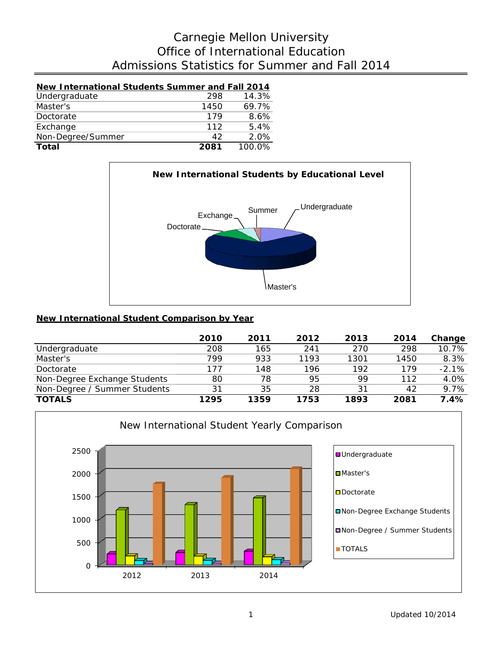# Admissions Statistics for Summer and Fall 2014 Office of International Education Carnegie Mellon University

## **New International Students Summer and Fall 2014**<br>Undergraduate 298 14.3% Undergraduate 298 14.3%<br>Master's 1450 69.7% Master's 1450 69.7%<br>Doctorate 179 8.6% Doctorate 179 8.6%<br>Exchange 112 5.4% Exchange 112 5.4%<br>Non-Degree/Summer 42 2.0% Non-Degree/Summer 42<br> **Total** 2081

**Total 2081** 100.0%



### **New International Student Comparison by Year**

|                              | 2010 | 2011 | 2012 | 2013 | 2014 | Change  |
|------------------------------|------|------|------|------|------|---------|
| Undergraduate                | 208  | 165  | 241  | 270  | 298  | 10.7%   |
| Master's                     | 799  | 933  | 1193 | 1301 | 1450 | 8.3%    |
| Doctorate                    | 177  | 148  | 196  | 192  | 179  | $-2.1%$ |
| Non-Degree Exchange Students | 80   | 78   | 95   | 99   | 112  | 4.0%    |
| Non-Degree / Summer Students | 31   | 35   | 28   | 31   | 42   | 9.7%    |
| <b>TOTALS</b>                | 1295 | 1359 | 1753 | 1893 | 2081 | 7.4%    |

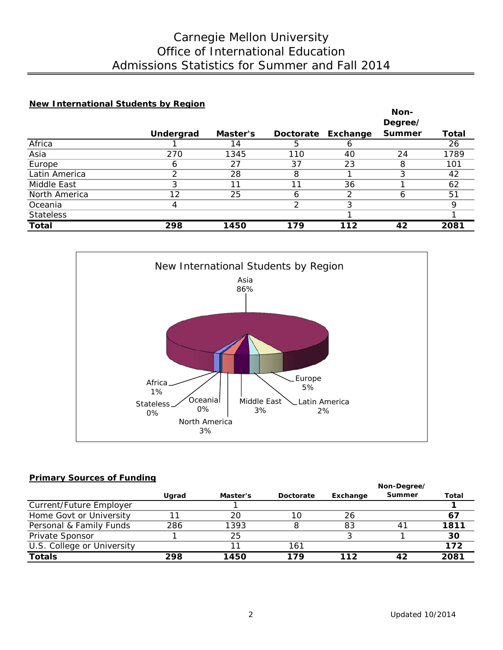# Admissions Statistics for Summer and Fall 2014 Office of International Education Carnegie Mellon University

#### **New International Students by Region**

|                  |           |          |     |                    | Non-          |       |
|------------------|-----------|----------|-----|--------------------|---------------|-------|
|                  |           |          |     |                    | Degree/       |       |
|                  | Undergrad | Master's |     | Doctorate Exchange | <b>Summer</b> | Total |
| Africa           |           | 4        |     | О                  |               | 26    |
| Asia             | 270       | 1345     | 110 | 40                 | 24            | 1789  |
| Europe           | 6         | 27       | 37  | 23                 | 8             | 101   |
| Latin America    | ⌒         | 28       | 8   |                    |               | 42    |
| Middle East      | 3         |          | 11  | 36                 |               | 62    |
| North America    | 12        | 25       | h   | 2                  | h             | 51    |
| Oceania          | 4         |          |     | 3                  |               | Q     |
| <b>Stateless</b> |           |          |     |                    |               |       |
| <b>Total</b>     | 298       | 1450     | 179 | 112                | 42            | 2081  |



#### **Primary Sources of Funding**

|                            |       |          |           | Non-Degree/ |           |       |  |
|----------------------------|-------|----------|-----------|-------------|-----------|-------|--|
|                            | Ugrad | Master's | Doctorate | Exchange    | Summer    | Total |  |
| Current/Future Employer    |       |          |           |             |           |       |  |
| Home Govt or University    |       | 20       | 10        | 26          |           |       |  |
| Personal & Family Funds    | 286   | 1393     |           | 83          | $4^\circ$ | 1811  |  |
| Private Sponsor            |       | 25       |           |             |           | 30    |  |
| U.S. College or University |       |          | 161       |             |           | 172   |  |
| <b>Totals</b>              | 298   | 1450     | 179       | 112         |           | 2081  |  |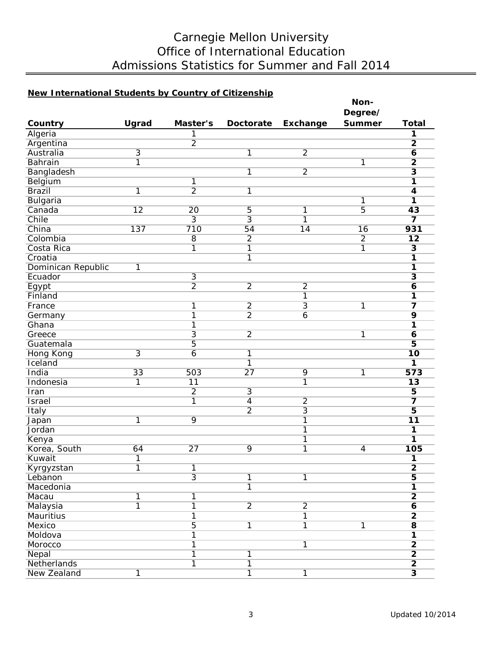# Carnegie Mellon University Office of International Education Admissions Statistics for Summer and Fall 2014

## **New International Students by Country of Citizenship**

|                      |                 |                 |                 |                 | Non-           |                         |
|----------------------|-----------------|-----------------|-----------------|-----------------|----------------|-------------------------|
|                      |                 |                 |                 |                 | Degree/        |                         |
| Country              | Ugrad           | Master's        | Doctorate       | <b>Exchange</b> | <b>Summer</b>  | <b>Total</b>            |
| Algeria              |                 | 1               |                 |                 |                | 1                       |
| Argentina            |                 | $\overline{2}$  |                 |                 |                | $\overline{2}$          |
| Australia            | $\overline{3}$  |                 | 1               | $\overline{2}$  |                | $\overline{\mathbf{6}}$ |
| <b>Bahrain</b>       | $\overline{1}$  |                 |                 |                 | $\overline{1}$ | $\overline{2}$          |
| Bangladesh           |                 |                 | 1               | $\overline{2}$  |                | $\overline{\mathbf{3}}$ |
| Belgium              |                 | 1               |                 |                 |                | 1                       |
| <b>Brazil</b>        | 1               | $\overline{2}$  | 1               |                 |                | $\overline{\mathbf{4}}$ |
| Bulgaria             |                 |                 |                 |                 | $\overline{1}$ | $\overline{\mathbf{1}}$ |
| Canada               | $\overline{12}$ | 20              | 5               | 1               | $\overline{5}$ | $\overline{43}$         |
| Chile                |                 | $\overline{3}$  | $\overline{3}$  | 1               |                | $\overline{\mathbf{z}}$ |
| China                | 137             | 710             | 54              | 14              | 16             | 931                     |
| Colombia             |                 | $\overline{8}$  | $\overline{2}$  |                 | $\overline{2}$ | 12                      |
| Costa Rica           |                 | $\overline{1}$  | $\overline{1}$  |                 | 1              | $\overline{\mathbf{3}}$ |
| Croatia              |                 |                 | 1               |                 |                | 1                       |
| Dominican Republic   | 1               |                 |                 |                 |                | $\overline{\mathbf{1}}$ |
| Ecuador              |                 | $\overline{3}$  |                 |                 |                | $\overline{\mathbf{3}}$ |
| Egypt                |                 | $\overline{2}$  | $\overline{2}$  | $\overline{2}$  |                | $\overline{\mathbf{6}}$ |
| Finland              |                 |                 |                 | 1               |                | $\overline{1}$          |
| France               |                 | 1               | $\overline{2}$  | $\overline{3}$  | $\overline{1}$ | $\overline{\mathbf{z}}$ |
| Germany              |                 | $\overline{1}$  | $\overline{2}$  | $\overline{6}$  |                | 9                       |
| Ghana                |                 | $\overline{1}$  |                 |                 |                | 1                       |
| Greece               |                 | $\overline{3}$  | $\overline{2}$  |                 | 1              | 6                       |
| Guatemala            |                 | $\overline{5}$  |                 |                 |                | $\overline{\mathbf{5}}$ |
|                      | $\overline{3}$  | $\overline{6}$  |                 |                 |                | $\overline{10}$         |
| Hong Kong<br>Iceland |                 |                 | 1<br>1          |                 |                | $\overline{1}$          |
| India                | 33              | 503             | $\overline{27}$ | 9               |                | 573                     |
|                      |                 | $\overline{11}$ |                 | $\overline{1}$  | 1              | $\overline{13}$         |
| Indonesia            | 1               |                 |                 |                 |                |                         |
| Iran                 |                 | $\overline{2}$  | $\overline{3}$  |                 |                | $\overline{\mathbf{5}}$ |
| <b>Israel</b>        |                 | 1               | $\overline{4}$  | $\overline{2}$  |                | $\overline{\mathbf{z}}$ |
| Italy                |                 |                 | $\overline{2}$  | $\overline{3}$  |                | $\overline{5}$          |
| Japan                | 1               | 9               |                 | 1               |                | 11                      |
| Jordan               |                 |                 |                 | 1               |                | $\overline{1}$          |
| Kenya                |                 |                 |                 | 1               |                | 1                       |
| Korea, South         | 64              | $\overline{27}$ | 9               | $\overline{1}$  | $\overline{4}$ | 105                     |
| Kuwait               | 1               |                 |                 |                 |                | 1                       |
| Kyrgyzstan           | $\overline{1}$  | $\overline{1}$  |                 |                 |                | $\overline{2}$          |
| Lebanon              |                 | $\overline{3}$  | 1               | 1               |                | $\overline{\mathbf{5}}$ |
| Macedonia            |                 |                 | $\overline{1}$  |                 |                | $\overline{\mathbf{1}}$ |
| Macau                | 1               | 1               |                 |                 |                | $\overline{2}$          |
| Malaysia             | $\overline{1}$  | $\overline{1}$  | $\overline{2}$  | $\overline{2}$  |                | $\overline{\mathbf{6}}$ |
| Mauritius            |                 | $\overline{1}$  |                 | $\overline{1}$  |                | $\overline{2}$          |
| Mexico               |                 | $\overline{5}$  | $\overline{1}$  | $\overline{1}$  | $\overline{1}$ | $\overline{\mathbf{8}}$ |
| Moldova              |                 | $\overline{1}$  |                 |                 |                | $\overline{\mathbf{1}}$ |
| Morocco              |                 | $\overline{1}$  |                 | $\overline{1}$  |                | $\overline{2}$          |
| Nepal                |                 | $\overline{1}$  | 1               |                 |                | $\overline{2}$          |
| Netherlands          |                 | $\overline{1}$  | $\overline{1}$  |                 |                | $\overline{2}$          |
| New Zealand          | $\overline{1}$  |                 | 1               | $\overline{1}$  |                | $\overline{\mathbf{3}}$ |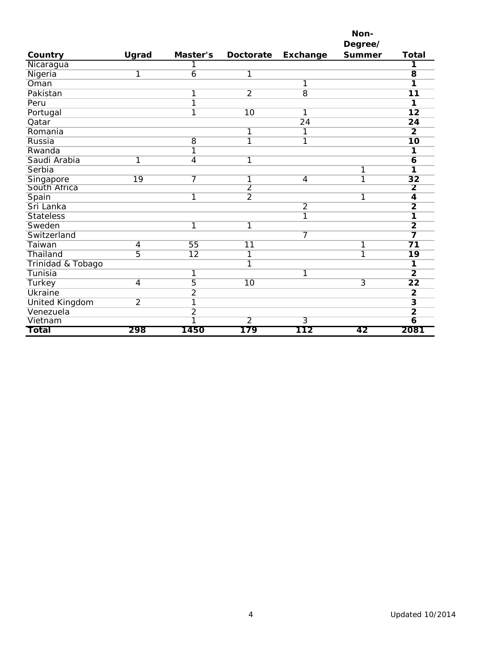|                       |                 |                         |                         |                 | Non-           |                         |
|-----------------------|-----------------|-------------------------|-------------------------|-----------------|----------------|-------------------------|
|                       |                 |                         |                         |                 | Degree/        |                         |
| Country               | Ugrad           | Master's                | <b>Doctorate</b>        | Exchange        | <b>Summer</b>  | <b>Total</b>            |
| Nicaragua             |                 | 1                       |                         |                 |                | 1                       |
| Nigeria               | 1               | 6                       | 1                       |                 |                | $\overline{8}$          |
| Oman                  |                 |                         |                         | 1               |                | 1                       |
| Pakistan              |                 | $\overline{1}$          | $\overline{2}$          | $\overline{8}$  |                | $\overline{11}$         |
| Peru                  |                 | $\overline{1}$          |                         |                 |                | 1                       |
| Portugal              |                 | 1                       | 10                      | 1               |                | $\overline{12}$         |
| Qatar                 |                 |                         |                         | $\overline{24}$ |                | 24                      |
| Romania               |                 |                         | 1                       | 1               |                | $\overline{2}$          |
| Russia                |                 | $\overline{8}$          | 1                       | 1               |                | $\overline{10}$         |
| Rwanda                |                 | 1                       |                         |                 |                | 1                       |
| Saudi Arabia          | $\overline{1}$  | $\overline{4}$          | $\overline{\mathbf{1}}$ |                 |                | 6                       |
| Serbia                |                 |                         |                         |                 | 1              | 1                       |
| Singapore             | $\overline{19}$ |                         | 1                       | $\overline{4}$  | 1              | $\overline{32}$         |
| South Africa          |                 |                         | $\overline{2}$          |                 |                | $\overline{2}$          |
| Spain                 |                 | 1                       | $\overline{2}$          |                 | 1              | $\overline{4}$          |
| Sri Lanka             |                 |                         |                         | $\overline{2}$  |                | $\overline{2}$          |
| <b>Stateless</b>      |                 |                         |                         | $\overline{1}$  |                | 1                       |
| Sweden                |                 | 1                       | $\overline{1}$          |                 |                | $\overline{2}$          |
| Switzerland           |                 |                         |                         | 7               |                | 7                       |
| Taiwan                | $\overline{4}$  | 55                      | $\overline{11}$         |                 | 1              | $\overline{71}$         |
| Thailand              | 5               | $\overline{12}$         | 1                       |                 | 1              | $\overline{19}$         |
| Trinidad & Tobago     |                 |                         | 1                       |                 |                | 1                       |
| Tunisia               |                 | 1                       |                         | 1               |                | $\overline{2}$          |
| Turkey                | 4               | 5                       | $\overline{10}$         |                 | $\overline{3}$ | $\overline{22}$         |
| <b>Ukraine</b>        |                 | $\overline{2}$          |                         |                 |                | $\overline{2}$          |
| <b>United Kingdom</b> | $\overline{2}$  | $\overline{\mathbf{1}}$ |                         |                 |                | $\overline{\mathbf{3}}$ |
| Venezuela             |                 | $\overline{2}$          |                         |                 |                | $\overline{2}$          |
| Vietnam               |                 | 1                       | $\overline{2}$          | $\overline{3}$  |                | $\overline{6}$          |
| Total                 | 298             | 1450                    | 179                     | 112             | 42             | 2081                    |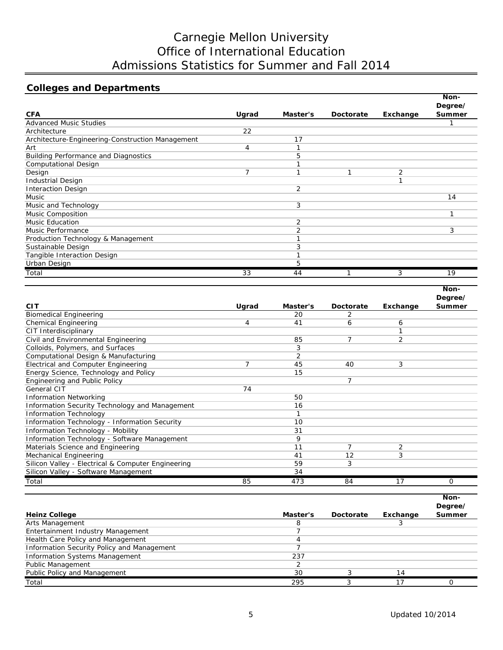# Carnegie Mellon University Office of International Education Admissions Statistics for Summer and Fall 2014

## **Colleges and Departments**

|                                                  |       |          |                  |          | Non-                     |
|--------------------------------------------------|-------|----------|------------------|----------|--------------------------|
| <b>CFA</b>                                       | Ugrad | Master's | <b>Doctorate</b> | Exchange | Degree/<br><b>Summer</b> |
| <b>Advanced Music Studies</b>                    |       |          |                  |          |                          |
| Architecture                                     | 22    |          |                  |          |                          |
| Architecture-Engineering-Construction Management |       | 17       |                  |          |                          |
| Art                                              | 4     |          |                  |          |                          |
| <b>Building Performance and Diagnostics</b>      |       | 5        |                  |          |                          |
| <b>Computational Design</b>                      |       |          |                  |          |                          |
| Design                                           |       |          |                  | 2        |                          |
| <b>Industrial Design</b>                         |       |          |                  | ◀        |                          |
| <b>Interaction Design</b>                        |       | 2        |                  |          |                          |
| Music                                            |       |          |                  |          | 14                       |
| Music and Technology                             |       | 3        |                  |          |                          |
| <b>Music Composition</b>                         |       |          |                  |          |                          |
| <b>Music Education</b>                           |       | 2        |                  |          |                          |
| Music Performance                                |       | 2        |                  |          | 3                        |
| Production Technology & Management               |       |          |                  |          |                          |
| Sustainable Design                               |       | 3        |                  |          |                          |
| Tangible Interaction Design                      |       |          |                  |          |                          |
| Urban Design                                     |       | 5        |                  |          |                          |
| Total                                            | 33    | 44       |                  | 3        | 19                       |

|                                                    |       |          |                  |          | <b>NON-</b> |
|----------------------------------------------------|-------|----------|------------------|----------|-------------|
|                                                    |       |          |                  |          | Degree/     |
| <b>CIT</b>                                         | Ugrad | Master's | <b>Doctorate</b> | Exchange | Summer      |
| <b>Biomedical Engineering</b>                      |       | 20       | 2                |          |             |
| <b>Chemical Engineering</b>                        | 4     | 41       | 6                | 6        |             |
| CIT Interdisciplinary                              |       |          |                  |          |             |
| Civil and Environmental Engineering                |       | 85       | 7                | 2        |             |
| Colloids, Polymers, and Surfaces                   |       | 3        |                  |          |             |
| Computational Design & Manufacturing               |       | 2        |                  |          |             |
| Electrical and Computer Engineering                | 7     | 45       | 40               | 3        |             |
| Energy Science, Technology and Policy              |       | 15       |                  |          |             |
| Engineering and Public Policy                      |       |          | 7                |          |             |
| General CIT                                        | 74    |          |                  |          |             |
| <b>Information Networking</b>                      |       | 50       |                  |          |             |
| Information Security Technology and Management     |       | 16       |                  |          |             |
| <b>Information Technology</b>                      |       |          |                  |          |             |
| Information Technology - Information Security      |       | 10       |                  |          |             |
| Information Technology - Mobility                  |       | 31       |                  |          |             |
| Information Technology - Software Management       |       | 9        |                  |          |             |
| Materials Science and Engineering                  |       | 11       | $\overline{7}$   | 2        |             |
| Mechanical Engineering                             |       | 41       | 12               | 3        |             |
| Silicon Valley - Electrical & Computer Engineering |       | 59       | 3                |          |             |
| Silicon Valley - Software Management               |       | 34       |                  |          |             |
| Total                                              | 85    | 473      | 84               | 17       | Ο           |

|                                            |          |           |          | Non-<br>Degree/ |
|--------------------------------------------|----------|-----------|----------|-----------------|
| <b>Heinz College</b>                       | Master's | Doctorate | Exchange | Summer          |
| Arts Management                            |          |           |          |                 |
| Entertainment Industry Management          |          |           |          |                 |
| Health Care Policy and Management          |          |           |          |                 |
| Information Security Policy and Management |          |           |          |                 |
| <b>Information Systems Management</b>      | 237      |           |          |                 |
| <b>Public Management</b>                   |          |           |          |                 |
| Public Policy and Management               | 30       |           | 14       |                 |
| Total                                      | 295      |           | 17       |                 |

**Non-**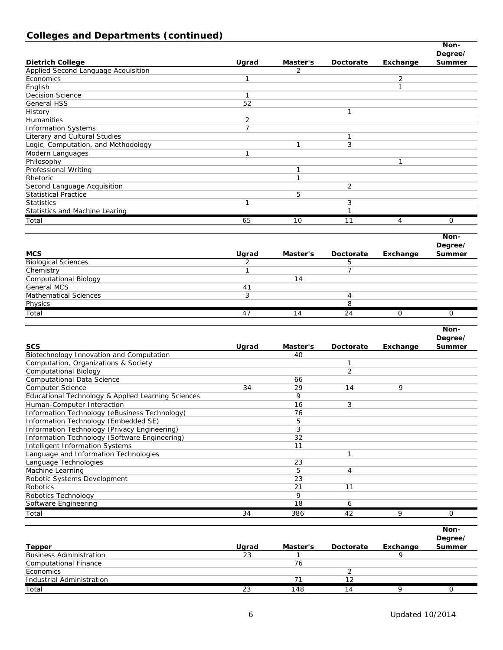## **Colleges and Departments (continued)**

|                                          |                |                 |                  |                | Non-           |
|------------------------------------------|----------------|-----------------|------------------|----------------|----------------|
|                                          |                |                 |                  |                | Degree/        |
| <b>Dietrich College</b>                  | Ugrad          | Master's        | <b>Doctorate</b> | Exchange       | Summer         |
| Applied Second Language Acquisition      |                | 2               |                  |                |                |
| Economics                                | $\mathbf{1}$   |                 |                  | 2              |                |
| English                                  |                |                 |                  | $\mathbf{1}$   |                |
| <b>Decision Science</b>                  | $\mathbf{1}$   |                 |                  |                |                |
| <b>General HSS</b>                       | 52             |                 |                  |                |                |
| History                                  |                |                 | 1                |                |                |
| Humanities                               | $\overline{2}$ |                 |                  |                |                |
| <b>Information Systems</b>               | $\overline{7}$ |                 |                  |                |                |
| Literary and Cultural Studies            |                |                 | 1                |                |                |
| Logic, Computation, and Methodology      |                | $\mathbf{1}$    | 3                |                |                |
| Modern Languages                         | $\mathbf{1}$   |                 |                  |                |                |
| Philosophy                               |                |                 |                  | 1              |                |
| Professional Writing                     |                | 1               |                  |                |                |
| Rhetoric                                 |                | $\mathbf{1}$    |                  |                |                |
| Second Language Acquisition              |                |                 | $\overline{2}$   |                |                |
| <b>Statistical Practice</b>              |                | 5               |                  |                |                |
| <b>Statistics</b>                        | 1              |                 | 3                |                |                |
| Statistics and Machine Learing           |                |                 | $\mathbf{1}$     |                |                |
| Total                                    | 65             | 10              | 11               | $\overline{4}$ | $\overline{O}$ |
|                                          |                |                 |                  |                |                |
|                                          |                |                 |                  |                | Non-           |
|                                          |                |                 |                  |                | Degree/        |
| <b>MCS</b>                               | Ugrad          | Master's        | <b>Doctorate</b> | Exchange       | Summer         |
| <b>Biological Sciences</b>               | $\overline{2}$ |                 | 5                |                |                |
| Chemistry                                | $\mathbf{1}$   |                 | $\overline{7}$   |                |                |
| <b>Computational Biology</b>             |                | 14              |                  |                |                |
| <b>General MCS</b>                       | 41             |                 |                  |                |                |
| <b>Mathematical Sciences</b>             | 3              |                 | 4                |                |                |
| Physics                                  |                |                 | 8                |                |                |
| Total                                    | 47             | $\overline{14}$ | $\overline{24}$  | 0              | $\overline{O}$ |
|                                          |                |                 |                  |                |                |
|                                          |                |                 |                  |                | Non-           |
|                                          |                |                 |                  |                | Degree/        |
| <b>SCS</b>                               | Ugrad          | Master's        | Doctorate        | Exchange       | Summer         |
| Biotechnology Innovation and Computation |                | 40              |                  |                |                |
| Computation, Organizations & Society     |                |                 | 1                |                |                |
| <b>Computational Biology</b>             |                |                 | $\overline{2}$   |                |                |
| <b>Computational Data Science</b>        |                | 66              |                  |                |                |
|                                          |                |                 |                  |                |                |

| Computational Bloidgy                              |    |     |    |   |  |
|----------------------------------------------------|----|-----|----|---|--|
| <b>Computational Data Science</b>                  |    | 66  |    |   |  |
| <b>Computer Science</b>                            | 34 | 29  | 14 | 9 |  |
| Educational Technology & Applied Learning Sciences |    | 9   |    |   |  |
| Human-Computer Interaction                         |    | 16  | 3  |   |  |
| Information Technology (eBusiness Technology)      |    | 76  |    |   |  |
| Information Technology (Embedded SE)               |    | 5   |    |   |  |
| Information Technology (Privacy Engineering)       |    |     |    |   |  |
| Information Technology (Software Engineering)      |    | 32  |    |   |  |
| <b>Intelligent Information Systems</b>             |    | 11  |    |   |  |
| Language and Information Technologies              |    |     |    |   |  |
| Language Technologies                              |    | 23  |    |   |  |
| Machine Learning                                   |    | 5   | 4  |   |  |
| Robotic Systems Development                        |    | 23  |    |   |  |
| Robotics                                           |    | 21  | 11 |   |  |
| Robotics Technology                                |    | 9   |    |   |  |
| Software Engineering                               |    | 18  | 6  |   |  |
| Total                                              | 34 | 386 | 42 | 9 |  |
|                                                    |    |     |    |   |  |

|                                |       |          |           |          | Non-    |
|--------------------------------|-------|----------|-----------|----------|---------|
|                                |       |          |           |          | Degree/ |
| <b>Tepper</b>                  | Uarad | Master's | Doctorate | Exchange | Summer  |
| <b>Business Administration</b> | 23    |          |           |          |         |
| <b>Computational Finance</b>   |       | 76       |           |          |         |
| Economics                      |       |          |           |          |         |
| Industrial Administration      |       |          | 12        |          |         |
| Total                          | 23    | 148      | 14        |          |         |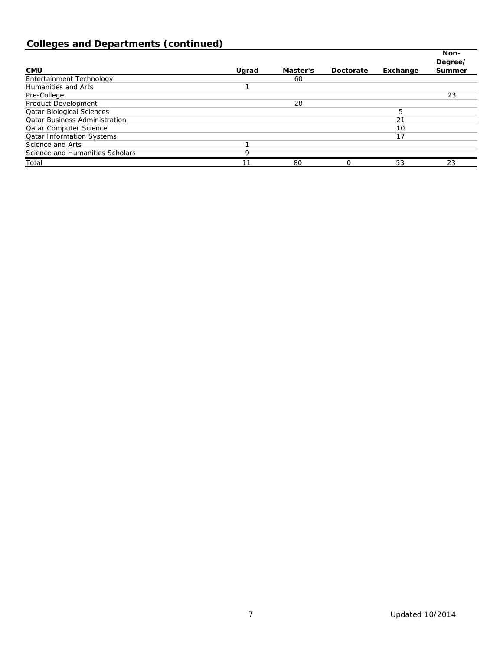# **Colleges and Departments (continued)**

|                                      |       |          |           |          | Non-<br>Degree/ |
|--------------------------------------|-------|----------|-----------|----------|-----------------|
| <b>CMU</b>                           | Uarad | Master's | Doctorate | Exchange | Summer          |
| Entertainment Technology             |       | 60       |           |          |                 |
| Humanities and Arts                  |       |          |           |          |                 |
| Pre-College                          |       |          |           |          | 23              |
| Product Development                  |       | 20       |           |          |                 |
| <b>Qatar Biological Sciences</b>     |       |          |           | 5        |                 |
| <b>Qatar Business Administration</b> |       |          |           | 21       |                 |
| <b>Qatar Computer Science</b>        |       |          |           | 10       |                 |
| <b>Qatar Information Systems</b>     |       |          |           | 17       |                 |
| Science and Arts                     |       |          |           |          |                 |
| Science and Humanities Scholars      | 9     |          |           |          |                 |
| Total                                | 11    | 80       | 0         | 53       | 23              |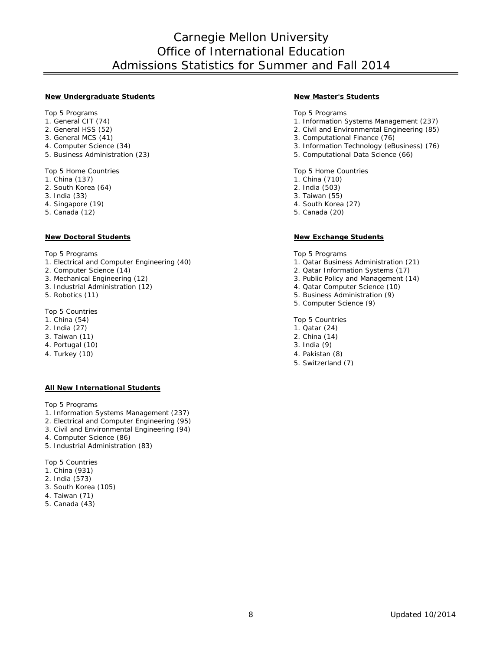## Carnegie Mellon University Office of International Education Admissions Statistics for Summer and Fall 2014

#### **New Undergraduate Students New Master's Students**

- 
- 
- 
- 
- 

- 
- 2. South Korea (64)<br>3. India (33)
- 
- 3. India (33) 3. Taiwan (55) 3. Taiwan (55) 3. Taiwan (55) 3. Taiwan (55) 3. Taiwan (55) 3. Taiwan (55) 3. Taiwan (55) 3. Taiwan (55) 3. Taiwan (55) 3. Taiwan (55) 3. Taiwan (55) 3. Taiwan (55) 3. Taiwan (55) 3. Taiwan (55
- 

Top 5 Programs Top 5 Programs Top 5 Programs Top 5 Programs Top 5 Programs Top 5 Programs Top 5 Programs Top 5 Programs Top 5 Programs Top 5 Programs Top 5 Programs Top 5 Programs Top 5 Programs Top 5 Programs Top 5 Progra

- 1. Electrical and Computer Engineering (40) 1. Qatar Business Administration (21)<br>2. Computer Science (14) 2. Qatar Information Systems (17)
- 
- 
- 3. Industrial Administration (12)<br>5. Robotics (11)
- 

Top 5 Countries<br>1. China (54)

- 
- 
- 3. Taiwan (11) 2. China (14)
- 4. Portugal (10)
- 

#### **All New International Students**

Top 5 Programs

- 1. Information Systems Management (237)
- 2. Electrical and Computer Engineering (95)
- 3. Civil and Environmental Engineering (94)
- 4. Computer Science (86)
- 5. Industrial Administration (83)

Top 5 Countries

- 1. China (931)
- 2. India (573)
- 3. South Korea (105)
- 4. Taiwan (71)
- 5. Canada (43)

Top 5 Programs Top 5 Programs Top 5 Programs Top 5 Programs Top 5 Programs Top 5 Programs Top 5 Programs Top 5 Programs Top 5 Programs Top 5 Programs Top 5 Programs Top 5 Programs Top 5 Programs Top 5 Programs Top 5 Progra

- 1. Information Systems Management (237)
- 2. General HSS (52) <br>
2. Civil and Environmental Engineering (85)<br>
3. Computational Finance (76)
- 3. General MCS (41) <br>
4. Computer Science (34) <br>
3. Information Technology (eB
- 4. Computer Science (34) 3. Information Technology (eBusiness) (76)<br>5. Business Administration (23) 5. Computational Data Science (66)
	- 5. Computational Data Science (66)

Top 5 Home Countries Top 5 Home Countries Top 5 Home Countries<br>
1. China (137) 1. China (137)

- 1. China (710)<br>2. India (503)
- 
- 
- 4. Singapore (19) 1. 2010 1. 2010 1. 2010 1. 2010 1. 2010 1. 2010 1. 2010 1. 2010 1. 2010 1. 2010 1. 2010 1. 20<br>1. Canada (12) 2. 2010 1. 2010 1. 2010 1. 2010 1. 2010 1. 2010 1. 2010 1. 2010 1. 2010 1. 2010 1. 2010 1. 2010
	- 5. Canada (20)

#### **New Doctoral Students New Exchange Students**

- 
- 2. Computer Science (14) 2. Qatar Information Systems (17)
	- 3. Public Policy and Management (14) 4. Qatar Computer Science (10)
	-
	- 5. Business Administration (9)
	- 5. Computer Science (9)

1. China (54) Top 5 Countries<br>
2. India (27) 2. India (27) 2. India (27) 2. India (27) Top 5 Countries<br>
2. India (27) 2. India (27) 2. India (27) 2. India (27) 2. India (27) 2. India (27) 2. India (27) 2. India (27)

- 1. Qatar (24)<br>2. China (14)
- 
- 
- 4. Turkey (10) 4. Pakistan (8)
	- 5. Switzerland (7)